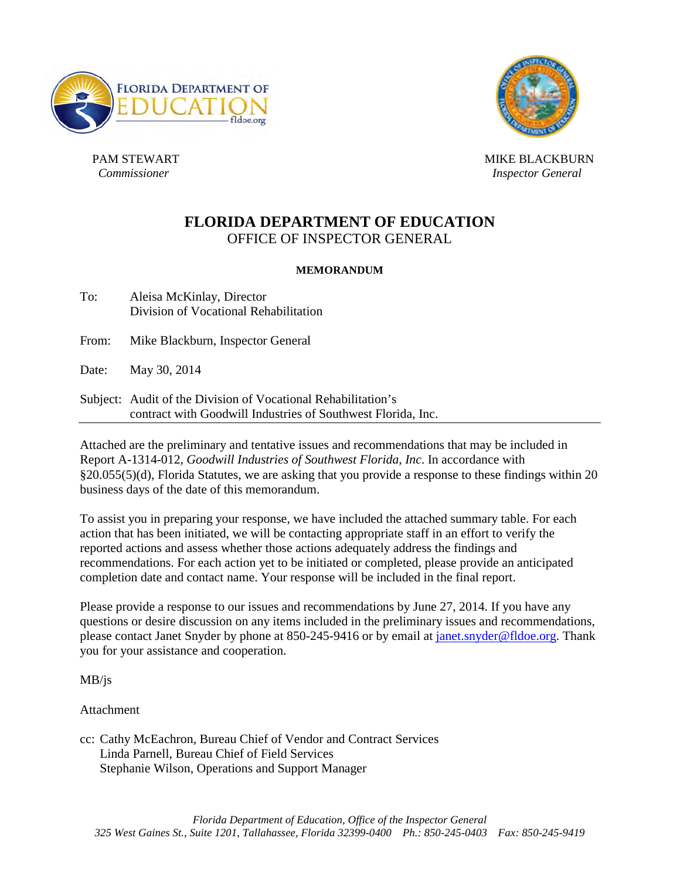



*<u>Commissioner</u>* 

PAM STEWART NEWSLET AND RESERVE AND MIKE BLACKBURN *Inspector General* 

## **FLORIDA DEPARTMENT OF EDUCATION**  OFFICE OF INSPECTOR GENERAL

#### **MEMORANDUM**

Division of Vocational Rehabilitation To: Aleisa McKinlay, Director

From: Mike Blackburn, Inspector General

- Date: May 30, 2014
- contract with Goodwill Industries of Southwest Florida, Inc. Subject: Audit of the Division of Vocational Rehabilitation's

 contract with Goodwill Industries of Southwest Florida, Inc. Attached are the preliminary and tentative issues and recommendations that may be included in §20.055(5)(d), Florida Statutes, we are asking that you provide a response to these findings within 20 business days of the date of this memorandum. Report A-1314-012, *Goodwill Industries of Southwest Florida, Inc*. In accordance with

 completion date and contact name. Your response will be included in the final report. To assist you in preparing your response, we have included the attached summary table. For each action that has been initiated, we will be contacting appropriate staff in an effort to verify the reported actions and assess whether those actions adequately address the findings and recommendations. For each action yet to be initiated or completed, please provide an anticipated

 Please provide a response to our issues and recommendations by June 27, 2014. If you have any questions or desire discussion on any items included in the preliminary issues and recommendations, please contact Janet Snyder by phone at 850-245-9416 or by email at [janet.snyder@fldoe.org.](mailto:janet.snyder@fldoe.org) Thank you for your assistance and cooperation.

MB/js

Attachment

cc: Cathy McEachron, Bureau Chief of Vendor and Contract Services Linda Parnell, Bureau Chief of Field Services Stephanie Wilson, Operations and Support Manager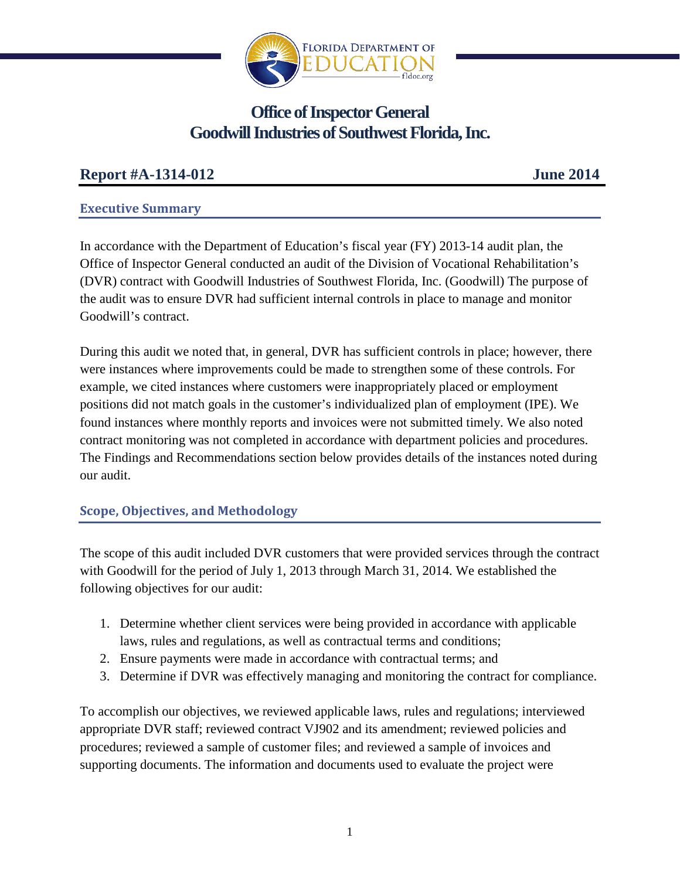

# **Office of Inspector General Goodwill Industries of Southwest Florida, Inc.**

## **Report #A-1314-012**

**June 2014** 

#### **Executive Summary**

In accordance with the Department of Education's fiscal year (FY) 2013-14 audit plan, the Office of Inspector General conducted an audit of the Division of Vocational Rehabilitation's (DVR) contract with Goodwill Industries of Southwest Florida, Inc. (Goodwill) The purpose of the audit was to ensure DVR had sufficient internal controls in place to manage and monitor Goodwill's contract.

During this audit we noted that, in general, DVR has sufficient controls in place; however, there were instances where improvements could be made to strengthen some of these controls. For example, we cited instances where customers were inappropriately placed or employment positions did not match goals in the customer's individualized plan of employment (IPE). We found instances where monthly reports and invoices were not submitted timely. We also noted contract monitoring was not completed in accordance with department policies and procedures. The Findings and Recommendations section below provides details of the instances noted during our audit.

## **Scope, Objectives, and Methodology**

 following objectives for our audit: The scope of this audit included DVR customers that were provided services through the contract with Goodwill for the period of July 1, 2013 through March 31, 2014. We established the

- 1. Determine whether client services were being provided in accordance with applicable laws, rules and regulations, as well as contractual terms and conditions;
- 2. Ensure payments were made in accordance with contractual terms; and
- 3. Determine if DVR was effectively managing and monitoring the contract for compliance.

To accomplish our objectives, we reviewed applicable laws, rules and regulations; interviewed appropriate DVR staff; reviewed contract VJ902 and its amendment; reviewed policies and procedures; reviewed a sample of customer files; and reviewed a sample of invoices and supporting documents. The information and documents used to evaluate the project were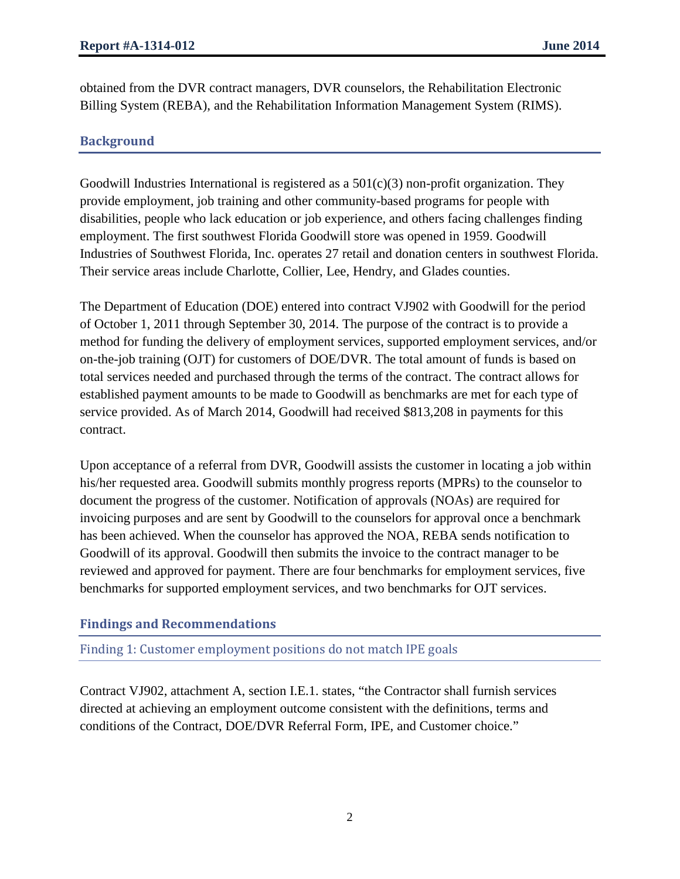Billing System (REBA), and the Rehabilitation Information Management System (RIMS). obtained from the DVR contract managers, DVR counselors, the Rehabilitation Electronic

## **Background**

Goodwill Industries International is registered as a  $501(c)(3)$  non-profit organization. They provide employment, job training and other community-based programs for people with disabilities, people who lack education or job experience, and others facing challenges finding employment. The first southwest Florida Goodwill store was opened in 1959. Goodwill Industries of Southwest Florida, Inc. operates 27 retail and donation centers in southwest Florida. Their service areas include Charlotte, Collier, Lee, Hendry, and Glades counties.

The Department of Education (DOE) entered into contract VJ902 with Goodwill for the period of October 1, 2011 through September 30, 2014. The purpose of the contract is to provide a method for funding the delivery of employment services, supported employment services, and/or on-the-job training (OJT) for customers of DOE/DVR. The total amount of funds is based on total services needed and purchased through the terms of the contract. The contract allows for established payment amounts to be made to Goodwill as benchmarks are met for each type of service provided. As of March 2014, Goodwill had received \$813,208 in payments for this contract.

 Upon acceptance of a referral from DVR, Goodwill assists the customer in locating a job within his/her requested area. Goodwill submits monthly progress reports (MPRs) to the counselor to document the progress of the customer. Notification of approvals (NOAs) are required for invoicing purposes and are sent by Goodwill to the counselors for approval once a benchmark has been achieved. When the counselor has approved the NOA, REBA sends notification to Goodwill of its approval. Goodwill then submits the invoice to the contract manager to be reviewed and approved for payment. There are four benchmarks for employment services, five benchmarks for supported employment services, and two benchmarks for OJT services.

## **Findings and Recommendations**

Finding 1: Customer employment positions do not match IPE goals

conditions of the Contract, DOE/DVR Referral Form, IPE, and Customer choice."<br>
2 Contract VJ902, attachment A, section I.E.1. states, "the Contractor shall furnish services directed at achieving an employment outcome consistent with the definitions, terms and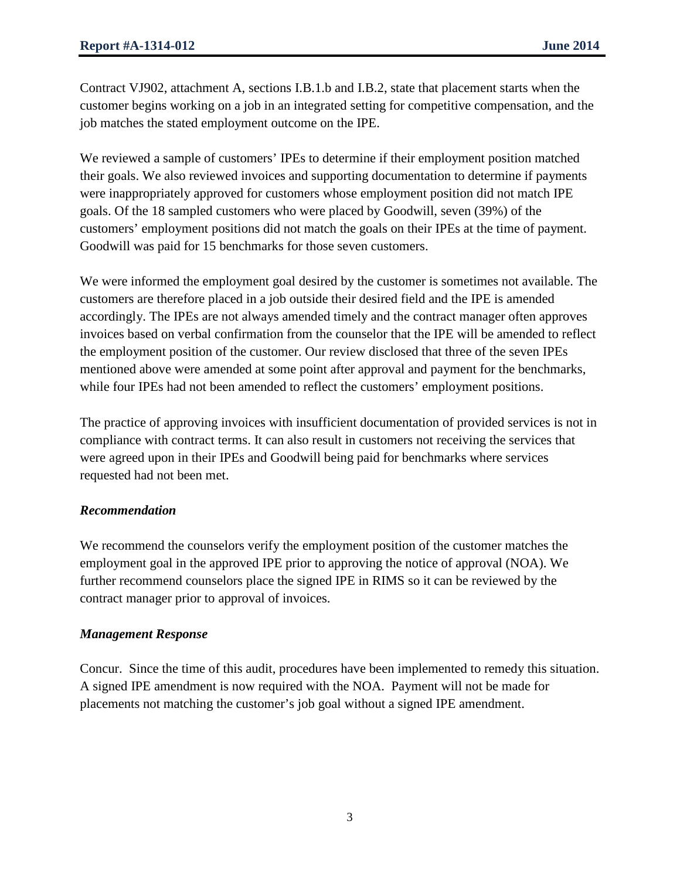Contract VJ902, attachment A, sections I.B.1.b and I.B.2, state that placement starts when the customer begins working on a job in an integrated setting for competitive compensation, and the job matches the stated employment outcome on the IPE.

We reviewed a sample of customers' IPEs to determine if their employment position matched their goals. We also reviewed invoices and supporting documentation to determine if payments were inappropriately approved for customers whose employment position did not match IPE goals. Of the 18 sampled customers who were placed by Goodwill, seven (39%) of the customers' employment positions did not match the goals on their IPEs at the time of payment. Goodwill was paid for 15 benchmarks for those seven customers.

 We were informed the employment goal desired by the customer is sometimes not available. The invoices based on verbal confirmation from the counselor that the IPE will be amended to reflect customers are therefore placed in a job outside their desired field and the IPE is amended accordingly. The IPEs are not always amended timely and the contract manager often approves the employment position of the customer. Our review disclosed that three of the seven IPEs mentioned above were amended at some point after approval and payment for the benchmarks, while four IPEs had not been amended to reflect the customers' employment positions.

 compliance with contract terms. It can also result in customers not receiving the services that The practice of approving invoices with insufficient documentation of provided services is not in were agreed upon in their IPEs and Goodwill being paid for benchmarks where services requested had not been met.

#### *Recommendation*

We recommend the counselors verify the employment position of the customer matches the employment goal in the approved IPE prior to approving the notice of approval (NOA). We further recommend counselors place the signed IPE in RIMS so it can be reviewed by the contract manager prior to approval of invoices.

#### *Management Response*

Concur. Since the time of this audit, procedures have been implemented to remedy this situation. A signed IPE amendment is now required with the NOA. Payment will not be made for placements not matching the customer's job goal without a signed IPE amendment.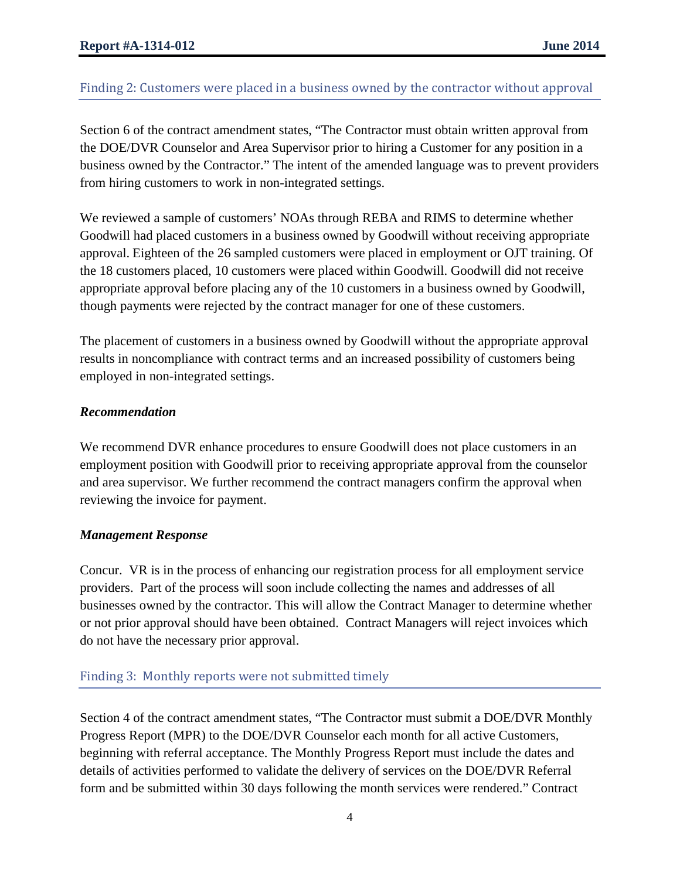## Finding 2: Customers were placed in a business owned by the contractor without approval

Section 6 of the contract amendment states, "The Contractor must obtain written approval from the DOE/DVR Counselor and Area Supervisor prior to hiring a Customer for any position in a business owned by the Contractor." The intent of the amended language was to prevent providers from hiring customers to work in non-integrated settings.

 Goodwill had placed customers in a business owned by Goodwill without receiving appropriate We reviewed a sample of customers' NOAs through REBA and RIMS to determine whether approval. Eighteen of the 26 sampled customers were placed in employment or OJT training. Of the 18 customers placed, 10 customers were placed within Goodwill. Goodwill did not receive appropriate approval before placing any of the 10 customers in a business owned by Goodwill, though payments were rejected by the contract manager for one of these customers.

The placement of customers in a business owned by Goodwill without the appropriate approval results in noncompliance with contract terms and an increased possibility of customers being employed in non-integrated settings.

#### *Recommendation*

We recommend DVR enhance procedures to ensure Goodwill does not place customers in an employment position with Goodwill prior to receiving appropriate approval from the counselor and area supervisor. We further recommend the contract managers confirm the approval when reviewing the invoice for payment.

#### *Management Response*

 providers. Part of the process will soon include collecting the names and addresses of all do not have the necessary prior approval. Concur. VR is in the process of enhancing our registration process for all employment service businesses owned by the contractor. This will allow the Contract Manager to determine whether or not prior approval should have been obtained. Contract Managers will reject invoices which

#### Finding 3: Monthly reports were not submitted timely

Section 4 of the contract amendment states, "The Contractor must submit a DOE/DVR Monthly Progress Report (MPR) to the DOE/DVR Counselor each month for all active Customers, beginning with referral acceptance. The Monthly Progress Report must include the dates and details of activities performed to validate the delivery of services on the DOE/DVR Referral form and be submitted within 30 days following the month services were rendered." Contract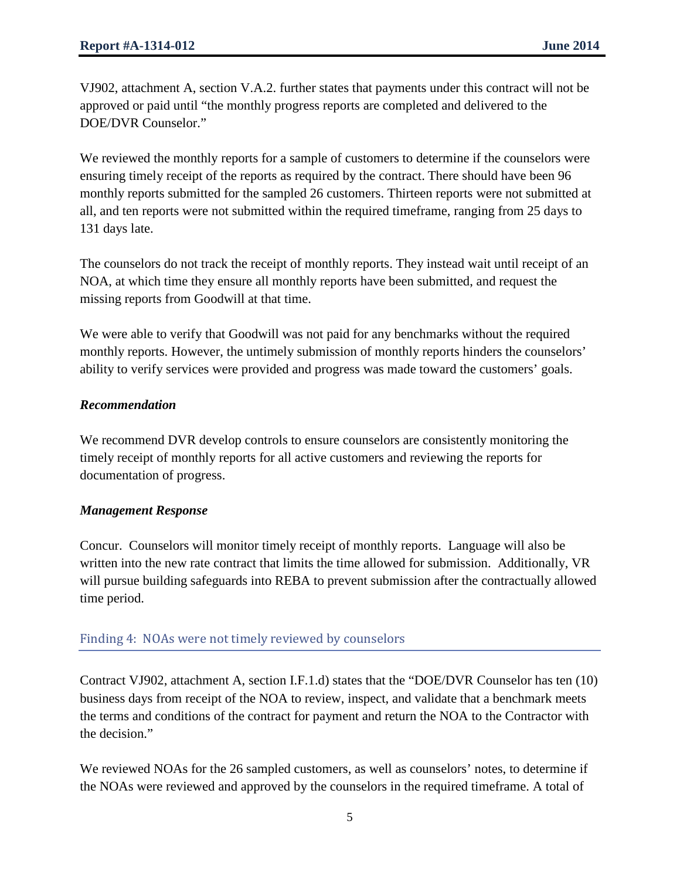VJ902, attachment A, section V.A.2. further states that payments under this contract will not be approved or paid until "the monthly progress reports are completed and delivered to the DOE/DVR Counselor."

 We reviewed the monthly reports for a sample of customers to determine if the counselors were ensuring timely receipt of the reports as required by the contract. There should have been 96 monthly reports submitted for the sampled 26 customers. Thirteen reports were not submitted at all, and ten reports were not submitted within the required timeframe, ranging from 25 days to 131 days late.

The counselors do not track the receipt of monthly reports. They instead wait until receipt of an NOA, at which time they ensure all monthly reports have been submitted, and request the missing reports from Goodwill at that time.

We were able to verify that Goodwill was not paid for any benchmarks without the required monthly reports. However, the untimely submission of monthly reports hinders the counselors' ability to verify services were provided and progress was made toward the customers' goals.

#### *Recommendation*

 timely receipt of monthly reports for all active customers and reviewing the reports for We recommend DVR develop controls to ensure counselors are consistently monitoring the documentation of progress.

#### *Management Response*

Concur. Counselors will monitor timely receipt of monthly reports. Language will also be written into the new rate contract that limits the time allowed for submission. Additionally, VR will pursue building safeguards into REBA to prevent submission after the contractually allowed time period.

#### Finding 4: NOAs were not timely reviewed by counselors

Contract VJ902, attachment A, section I.F.1.d) states that the "DOE/DVR Counselor has ten (10) business days from receipt of the NOA to review, inspect, and validate that a benchmark meets the terms and conditions of the contract for payment and return the NOA to the Contractor with the decision."

We reviewed NOAs for the 26 sampled customers, as well as counselors' notes, to determine if the NOAs were reviewed and approved by the counselors in the required timeframe. A total of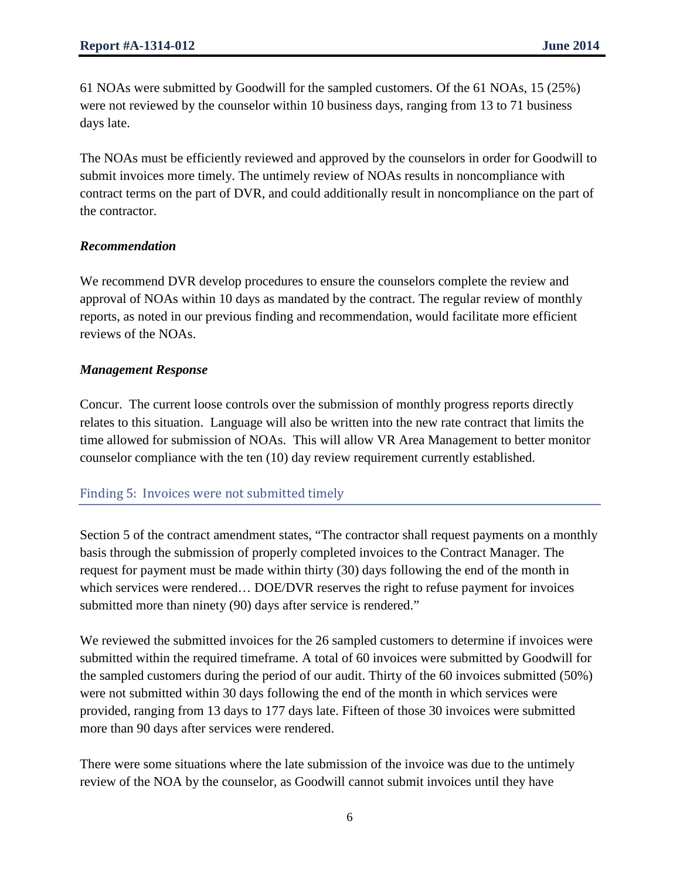61 NOAs were submitted by Goodwill for the sampled customers. Of the 61 NOAs, 15 (25%) were not reviewed by the counselor within 10 business days, ranging from 13 to 71 business days late.

The NOAs must be efficiently reviewed and approved by the counselors in order for Goodwill to submit invoices more timely. The untimely review of NOAs results in noncompliance with contract terms on the part of DVR, and could additionally result in noncompliance on the part of the contractor.

#### *Recommendation*

We recommend DVR develop procedures to ensure the counselors complete the review and approval of NOAs within 10 days as mandated by the contract. The regular review of monthly reports, as noted in our previous finding and recommendation, would facilitate more efficient reviews of the NOAs.

#### *Management Response*

Concur. The current loose controls over the submission of monthly progress reports directly relates to this situation. Language will also be written into the new rate contract that limits the time allowed for submission of NOAs. This will allow VR Area Management to better monitor counselor compliance with the ten (10) day review requirement currently established.

#### Finding 5: Invoices were not submitted timely

Section 5 of the contract amendment states, "The contractor shall request payments on a monthly basis through the submission of properly completed invoices to the Contract Manager. The request for payment must be made within thirty (30) days following the end of the month in which services were rendered… DOE/DVR reserves the right to refuse payment for invoices submitted more than ninety (90) days after service is rendered."

We reviewed the submitted invoices for the 26 sampled customers to determine if invoices were submitted within the required timeframe. A total of 60 invoices were submitted by Goodwill for the sampled customers during the period of our audit. Thirty of the 60 invoices submitted (50%) were not submitted within 30 days following the end of the month in which services were provided, ranging from 13 days to 177 days late. Fifteen of those 30 invoices were submitted more than 90 days after services were rendered.

There were some situations where the late submission of the invoice was due to the untimely review of the NOA by the counselor, as Goodwill cannot submit invoices until they have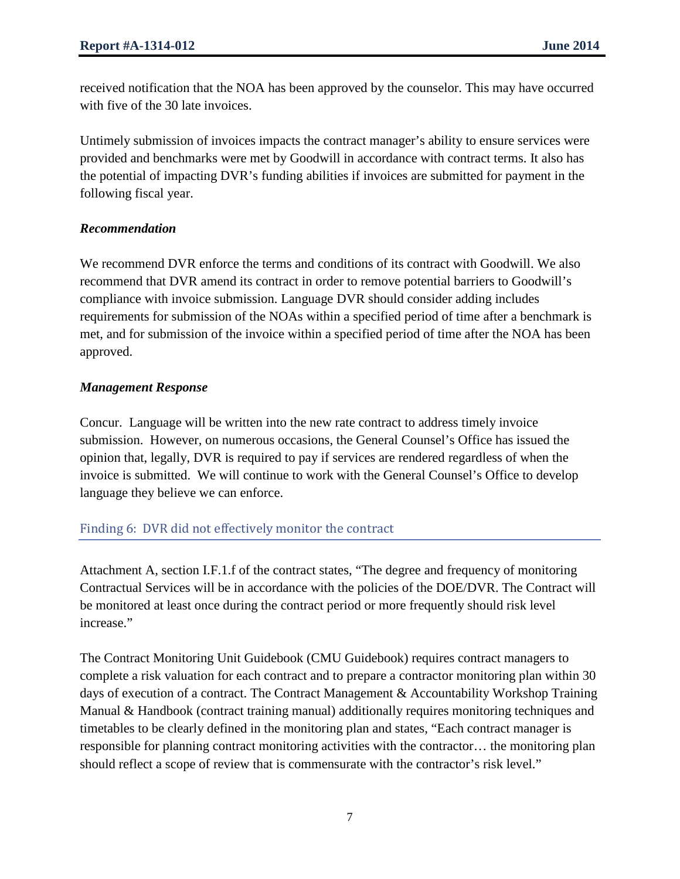received notification that the NOA has been approved by the counselor. This may have occurred with five of the 30 late invoices.

 provided and benchmarks were met by Goodwill in accordance with contract terms. It also has the potential of impacting DVR's funding abilities if invoices are submitted for payment in the Untimely submission of invoices impacts the contract manager's ability to ensure services were following fiscal year.

## *Recommendation*

 requirements for submission of the NOAs within a specified period of time after a benchmark is We recommend DVR enforce the terms and conditions of its contract with Goodwill. We also recommend that DVR amend its contract in order to remove potential barriers to Goodwill's compliance with invoice submission. Language DVR should consider adding includes met, and for submission of the invoice within a specified period of time after the NOA has been approved.

## *Management Response*

Concur. Language will be written into the new rate contract to address timely invoice submission. However, on numerous occasions, the General Counsel's Office has issued the opinion that, legally, DVR is required to pay if services are rendered regardless of when the invoice is submitted. We will continue to work with the General Counsel's Office to develop language they believe we can enforce.

## Finding 6: DVR did not effectively monitor the contract

Attachment A, section I.F.1.f of the contract states, "The degree and frequency of monitoring Contractual Services will be in accordance with the policies of the DOE/DVR. The Contract will be monitored at least once during the contract period or more frequently should risk level increase."

 Manual & Handbook (contract training manual) additionally requires monitoring techniques and The Contract Monitoring Unit Guidebook (CMU Guidebook) requires contract managers to complete a risk valuation for each contract and to prepare a contractor monitoring plan within 30 days of execution of a contract. The Contract Management & Accountability Workshop Training timetables to be clearly defined in the monitoring plan and states, "Each contract manager is responsible for planning contract monitoring activities with the contractor… the monitoring plan should reflect a scope of review that is commensurate with the contractor's risk level."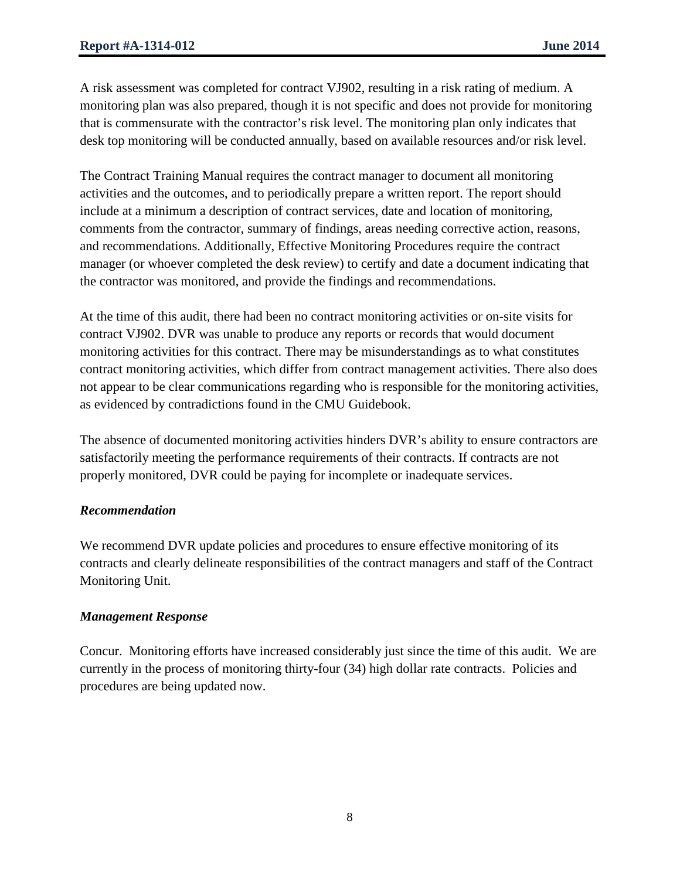A risk assessment was completed for contract VJ902, resulting in a risk rating of medium. A monitoring plan was also prepared, though it is not specific and does not provide for monitoring that is commensurate with the contractor's risk level. The monitoring plan only indicates that desk top monitoring will be conducted annually, based on available resources and/or risk level.

The Contract Training Manual requires the contract manager to document all monitoring activities and the outcomes, and to periodically prepare a written report. The report should include at a minimum a description of contract services, date and location of monitoring, comments from the contractor, summary of findings, areas needing corrective action, reasons, and recommendations. Additionally, Effective Monitoring Procedures require the contract manager (or whoever completed the desk review) to certify and date a document indicating that the contractor was monitored, and provide the findings and recommendations.

 monitoring activities for this contract. There may be misunderstandings as to what constitutes At the time of this audit, there had been no contract monitoring activities or on-site visits for contract VJ902. DVR was unable to produce any reports or records that would document contract monitoring activities, which differ from contract management activities. There also does not appear to be clear communications regarding who is responsible for the monitoring activities, as evidenced by contradictions found in the CMU Guidebook.

The absence of documented monitoring activities hinders DVR's ability to ensure contractors are satisfactorily meeting the performance requirements of their contracts. If contracts are not properly monitored, DVR could be paying for incomplete or inadequate services.

#### *Recommendation*

We recommend DVR update policies and procedures to ensure effective monitoring of its contracts and clearly delineate responsibilities of the contract managers and staff of the Contract Monitoring Unit.

#### *Management Response*

 currently in the process of monitoring thirty-four (34) high dollar rate contracts. Policies and Concur. Monitoring efforts have increased considerably just since the time of this audit. We are procedures are being updated now.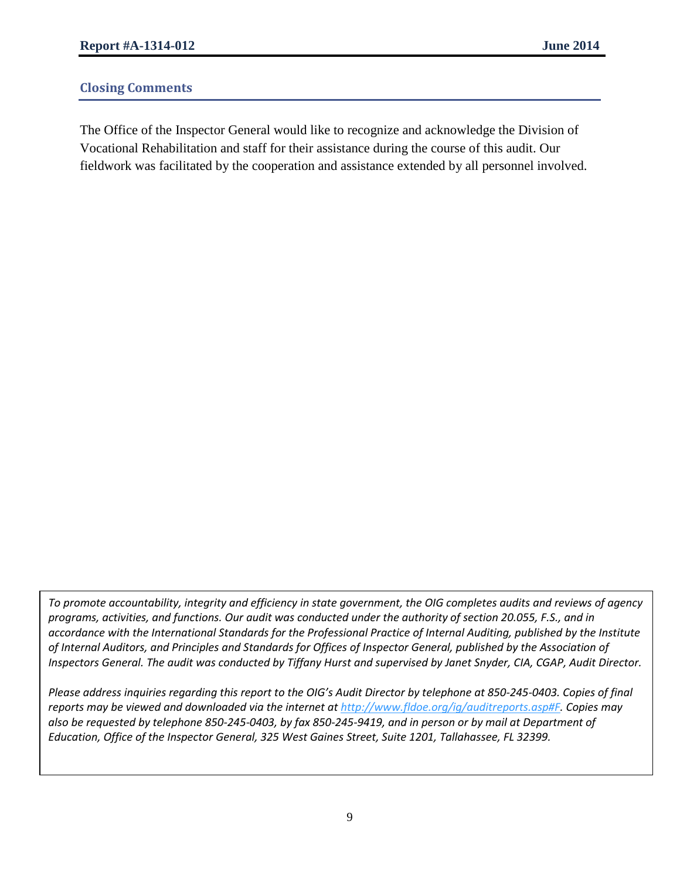## **Closing Comments**

 fieldwork was facilitated by the cooperation and assistance extended by all personnel involved. The Office of the Inspector General would like to recognize and acknowledge the Division of Vocational Rehabilitation and staff for their assistance during the course of this audit. Our

 *accordance with the International Standards for the Professional Practice of Internal Auditing, published by the Institute To promote accountability, integrity and efficiency in state government, the OIG completes audits and reviews of agency programs, activities, and functions. Our audit was conducted under the authority of section 20.055, F.S., and in of Internal Auditors, and Principles and Standards for Offices of Inspector General, published by the Association of* 

Inspectors General. The audit was conducted by Tiffany Hurst and supervised by Janet Snyder, CIA, CGAP, Audit Director.<br>Please address inquiries regarding this report to the OIG's Audit Director by telephone at 850-245-040 Please address inquiries regarding this report to the OIG's Audit Director by telephone at 850-245-0403. Copies of final  *also be requested by telephone 850-245-0403, by fax 850-245-9419, and in person or by mail at Department of Education, Office of the Inspector General, 325 West Gaines Street, Suite 1201, Tallahassee, FL 32399. reports may be viewed and downloaded via the internet at [http://www.fldoe.org/ig/auditreports.asp#F.](http://www.fldoe.org/ig/auditreports.asp%23F) Copies may*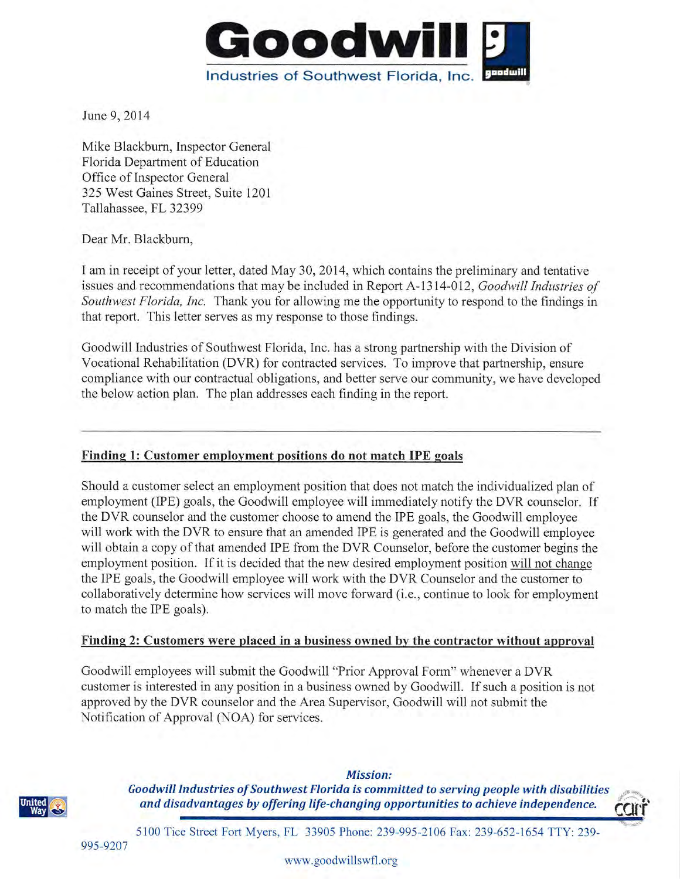

June 9, 2014

Mike Blackburn, Inspector General Florida Department of Education Office of Inspector General 325 West Gaines Street, Suite 1201 Tallahassee, FL 32399

Dear Mr. Blackburn,

I am in receipt of your letter, dated May 30, 2014, which contains the preliminary and tentative issues and recommendations that may be included in Report A-1314-012, Goodwill Industries of Southwest Florida, Inc. Thank you for allowing me the opportunity to respond to the findings in that report. This letter serves as my response to those findings.

Goodwill Industries of Southwest Florida, Inc. has a strong partnership with the Division of Vocational Rehabilitation (DVR) for contracted services. To improve that partnership, ensure compliance with our contractual obligations, and better serve our community, we have developed the below action plan. The plan addresses each finding in the report.

#### Finding 1: Customer employment positions do not match IPE goals

Should a customer select an employment position that does not match the individualized plan of employment (IPE) goals, the Goodwill employee will immediately notify the DVR counselor. If the DVR counselor and the customer choose to amend the IPE goals, the Goodwill employee will work with the DVR to ensure that an amended IPE is generated and the Goodwill employee will obtain a copy of that amended IPE from the DVR Counselor, before the customer begins the employment position. If it is decided that the new desired employment position will not change the IPE goals, the Goodwill employee will work with the DVR Counselor and the customer to collaboratively determine how services will move forward (i.e., continue to look for employment to match the IPE goals).

#### Finding 2: Customers were placed in a business owned by the contractor without approval

Goodwill employees will submit the Goodwill "Prior Approval Form" whenever a DVR customer is interested in any position in a business owned by Goodwill. If such a position is not approved by the DVR counselor and the Area Supervisor, Goodwill will not submit the Notification of Approval (NOA) for services.



**Mission:** Goodwill Industries of Southwest Florida is committed to serving people with disabilities and disadvantages by offering life-changing opportunities to achieve independence.



5100 Tice Street Fort Myers, FL 33905 Phone: 239-995-2106 Fax: 239-652-1654 TTY: 239-

995-9207

www.goodwillswfl.org